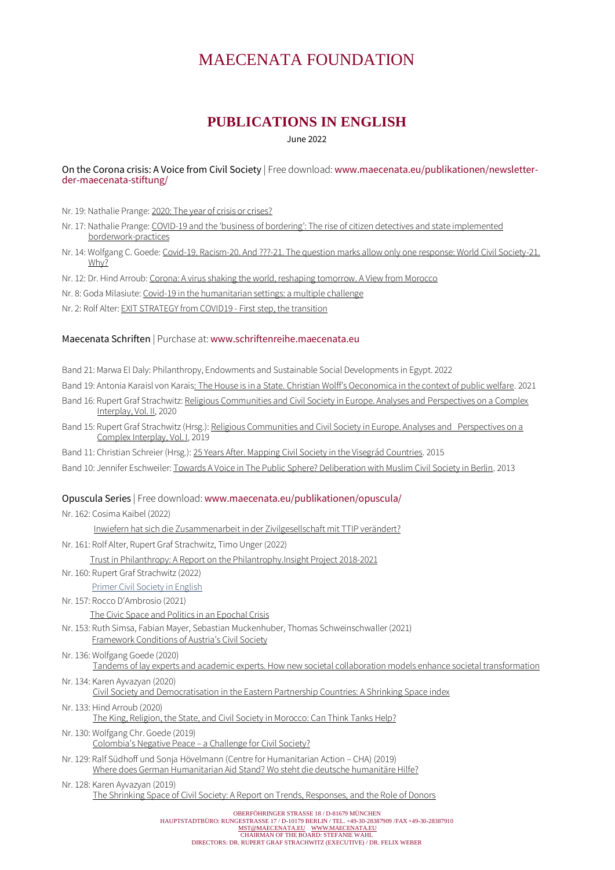# MAECENATA FOUNDATION

# **PUBLICATIONS IN ENGLISH**

June 2022

On the Corona crisis: A Voice from Civil Society | Free download: [www.maecenata.eu/publikationen/newsletter](http://www.maecenata.eu/publikationen/newsletter-der-maecenata-stiftung/)[der-maecenata-stiftung/](http://www.maecenata.eu/publikationen/newsletter-der-maecenata-stiftung/)

Nr. 19: Nathalie Prange[: 2020: The year of crisis or crises?](https://www.maecenata.eu/2020/07/31/in-the-corona-crisis-a-voice-from-civil-society-19/)

- Nr. 17: Nathalie Prange: COVID-[19 and the 'business of bordering': The rise of citizen detectives and state implemented](https://www.maecenata.eu/2020/07/17/in-the-corona-crisis-a-voice-from-civil-society17-17-07/)  [borderwork-practices](https://www.maecenata.eu/2020/07/17/in-the-corona-crisis-a-voice-from-civil-society17-17-07/)
- Nr. 14: Wolfgang C. Goede[: Covid-19. Racism-20. And ???-21. The question marks allow only one response: World Civil Society-21.](https://www.maecenata.eu/2020/06/19/in-the-corona-crisis-a-voice-from-civil-society-14-19-06-2020/)  [Why?](https://www.maecenata.eu/2020/06/19/in-the-corona-crisis-a-voice-from-civil-society-14-19-06-2020/)

Nr. 12: Dr. Hind Arroub[: Corona: A virus shaking the world, reshaping tomorrow.](https://www.maecenata.eu/2020/06/12/in-the-corona-crisis-a-voice-from-civil-society-12/) A View from Morocco

Nr. 8: Goda Milasiute[: Covid-19 in the humanitarian settings: a multiple challenge](https://www.maecenata.eu/2020/05/15/15-05-2020-in-the-corona-crisis-a-voice-from-civil-society-8/)

Nr. 2: Rolf Alter[: EXIT STRATEGY from COVID19 -](https://www.maecenata.eu/2020/04/03/in-the-corona-crisis-a-voice-from-civil-society-2/) First step, the transition

#### Maecenata Schriften | Purchase at: [www.schriftenreihe.maecenata.eu](http://www.schriftenreihe.maecenata.eu/)

- Band 21: Marwa El Daly: Philanthropy, Endowments and Sustainable Social Developments in Egypt. 2022
- Band 19: Antonia Karaisl von Karais[: The House is in a State. Christian Wolff's Oeconomica in the context of public welfare](https://www.maecenata.eu/2021/01/12/the-house-is-in-a-state-christian-wolff%ca%bcs-oeconomica-in-the-context-of-public-welfare/). 2021
- Band 16: Rupert Graf Strachwitz: [Religious Communities and Civil Society in Europe. Analyses and](https://www.maecenata.eu/2020/02/18/religious-communities-and-civil-society-in-europe-2/) Perspectives on a Complex [Interplay, Vol. II,](https://www.maecenata.eu/2020/02/18/religious-communities-and-civil-society-in-europe-2/) 2020
- Band 15: Rupert Graf Strachwitz (Hrsg.)[: Religious Communities and Civil Society in Europe. Analyses and Perspectives on a](https://www.maecenata.eu/2019/08/19/religious-communities-and-civil-society-in-europe/)  [Complex Interplay, Vol. I,](https://www.maecenata.eu/2019/08/19/religious-communities-and-civil-society-in-europe/) 2019
- Band 11: Christian Schreier (Hrsg.)[: 25 Years After. Mapping Civil Society in the Visegr](https://www.maecenata.eu/2016/11/02/25-years-after/)ád Countries. 2015
- Band 10: Jennifer Eschweiler[: Towards A Voice in The Public Sphere? Deliberation with Muslim Civil Society in Berlin.](https://www.maecenata.eu/2013/01/01/towards-a-voice-in-the-public-sphere/) 2013

#### Opuscula Series | Free download: [www.maecenata.eu/publikationen/opuscula/](http://www.maecenata.eu/publikationen/opuscula/)

Nr. 162: Cosima Kaibel (2022)

Inwiefern hat sich die [Zusammenarbeit](https://www.maecenata.eu/2022/04/29/inwiefern-hat-sich-die-zusammenarbeit-in-der-zivilgesellschaft-mit-ttip-veraendert/) in der Zivilgesellschaft mit TTIP verändert?

Nr. 161: Rolf Alter, Rupert Graf Strachwitz, Timo Unger (2022)

Trust in Philanthropy: A Report on the [Philantrophy.Insight](https://www.maecenata.eu/2022/02/22/trust-in-philanthropy/) Project 2018-2021

Nr. 160: Rupert Graf Strachwitz (2022)

Primer Civil [Society](https://www.maecenata.eu/2022/01/03/zivilgesellschaft-primer-jetzt-auf-englisch-civil-society-primer-now-in-english/) in English

Nr. 157: Rocco D'Ambrosio (2021)

The Civic Space and Politics in an [Epochal](https://www.maecenata.eu/2021/09/09/the-civic-space-and-politics-in-an-epochal-crisis/) Crisis

- Nr. 153: Ruth Simsa, Fabian Mayer, Sebastian Muckenhuber, Thomas Schweinschwaller (2021) [Framework](https://www.maecenata.eu/2021/07/16/framework-conditions-of-austrias-civil-society/) Conditions of Austria's Civil Society
- Nr. 136: Wolfgang Goede (2020) Tandems of lay experts and academic experts. How new societal collaboration models enhance societal [transformation](https://www.maecenata.eu/2020/06/15/opusculum-136/)

Nr. 134: Karen Ayvazyan (2020) Civil Society and [Democratisation](https://www.maecenata.eu/2020/05/01/opusculum-134-2/) in the Eastern Partnership Countries: A Shrinking Space index

- Nr. 133: Hind Arroub (2020) The King, Religion, the State, and Civil Society in [Morocco:](https://www.maecenata.eu/2020/02/01/opusculum-133/) Can Think Tanks Help?
- Nr. 130: Wolfgang Chr. Goede (2019) [Colombia's](https://www.maecenata.eu/2019/06/01/opusculum-130/) Negative Peace - a Challenge for Civil Society?
- Nr. 129: Ralf Südhoff und Sonja Hövelmann (Centre for Humanitarian Action CHA) (2019) Where does German [Humanitarian](https://www.maecenata.eu/2019/05/01/where-does-german-humanitarian-assistance-stand-wo-steht-die-deutsche-humanitaere-hilfe/) Aid Stand? Wo steht die deutsche humanitäre Hilfe?

Nr. 128: Karen Ayvazyan (2019) The Shrinking Space of Civil Society: A Report on Trends, [Responses,](https://www.maecenata.eu/2019/04/02/opusculum-128/) and the Role of Donors